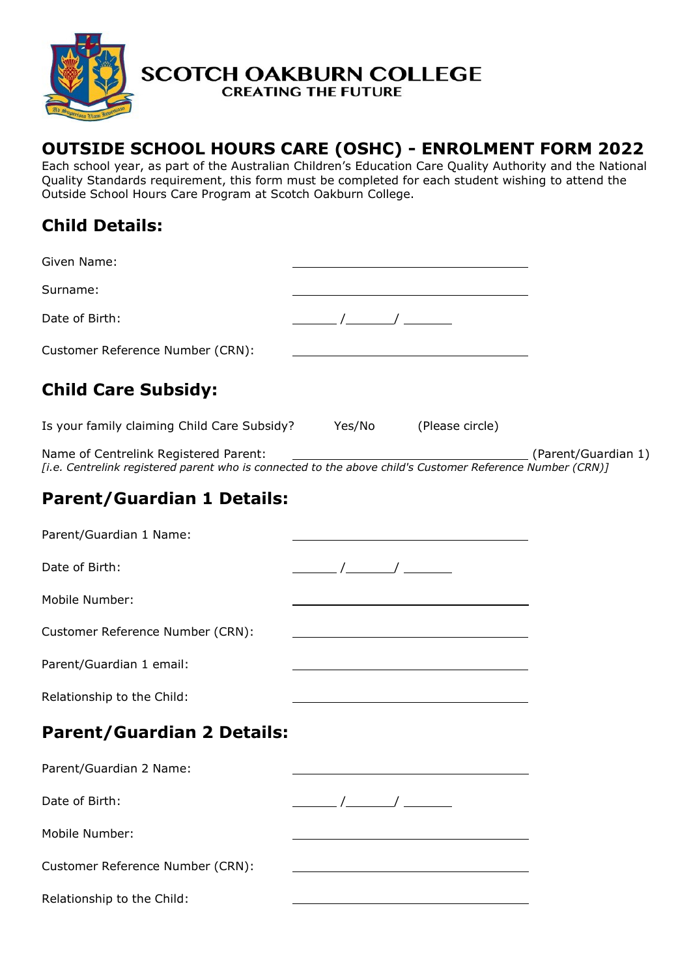

# **OUTSIDE SCHOOL HOURS CARE (OSHC) - ENROLMENT FORM 2022**

Each school year, as part of the Australian Children's Education Care Quality Authority and the National Quality Standards requirement, this form must be completed for each student wishing to attend the Outside School Hours Care Program at Scotch Oakburn College.

# **Child Details:**

| Given Name:                                                                                                                                                            |                                                                                                                                                                                                                                                                                                           |                                                                         |  |
|------------------------------------------------------------------------------------------------------------------------------------------------------------------------|-----------------------------------------------------------------------------------------------------------------------------------------------------------------------------------------------------------------------------------------------------------------------------------------------------------|-------------------------------------------------------------------------|--|
| Surname:                                                                                                                                                               |                                                                                                                                                                                                                                                                                                           |                                                                         |  |
| Date of Birth:                                                                                                                                                         |                                                                                                                                                                                                                                                                                                           |                                                                         |  |
| Customer Reference Number (CRN):                                                                                                                                       |                                                                                                                                                                                                                                                                                                           |                                                                         |  |
| <b>Child Care Subsidy:</b>                                                                                                                                             |                                                                                                                                                                                                                                                                                                           |                                                                         |  |
| Is your family claiming Child Care Subsidy? Yes/No (Please circle)                                                                                                     |                                                                                                                                                                                                                                                                                                           |                                                                         |  |
| (Parent/Guardian 1) Name of Centrelink Registered Parent:<br>[i.e. Centrelink registered parent who is connected to the above child's Customer Reference Number (CRN)] |                                                                                                                                                                                                                                                                                                           |                                                                         |  |
| <b>Parent/Guardian 1 Details:</b>                                                                                                                                      |                                                                                                                                                                                                                                                                                                           |                                                                         |  |
| Parent/Guardian 1 Name:                                                                                                                                                |                                                                                                                                                                                                                                                                                                           |                                                                         |  |
| Date of Birth:                                                                                                                                                         | $\frac{1}{\sqrt{1-\frac{1}{2}}}\left( \frac{1}{\sqrt{1-\frac{1}{2}}}\right)$                                                                                                                                                                                                                              |                                                                         |  |
| Mobile Number:                                                                                                                                                         |                                                                                                                                                                                                                                                                                                           | <u> 1980 - Johann Barbara, martxa amerikan per</u>                      |  |
| Customer Reference Number (CRN):                                                                                                                                       |                                                                                                                                                                                                                                                                                                           | <u> 1989 - Johann Barn, fransk politik fotballski politik (d. 1989)</u> |  |
| Parent/Guardian 1 email:                                                                                                                                               |                                                                                                                                                                                                                                                                                                           |                                                                         |  |
| Relationship to the Child:                                                                                                                                             | <u> 1989 - Johann Stoff, fransk politik (d. 1989)</u>                                                                                                                                                                                                                                                     |                                                                         |  |
| <b>Parent/Guardian 2 Details:</b>                                                                                                                                      |                                                                                                                                                                                                                                                                                                           |                                                                         |  |
| Parent/Guardian 2 Name:                                                                                                                                                |                                                                                                                                                                                                                                                                                                           |                                                                         |  |
| Date of Birth:                                                                                                                                                         | $\frac{1}{2}$ / $\frac{1}{2}$ / $\frac{1}{2}$ / $\frac{1}{2}$ / $\frac{1}{2}$ / $\frac{1}{2}$ / $\frac{1}{2}$ / $\frac{1}{2}$ / $\frac{1}{2}$ / $\frac{1}{2}$ / $\frac{1}{2}$ / $\frac{1}{2}$ / $\frac{1}{2}$ / $\frac{1}{2}$ / $\frac{1}{2}$ / $\frac{1}{2}$ / $\frac{1}{2}$ / $\frac{1}{2}$ / $\frac{1$ |                                                                         |  |
| Mobile Number:                                                                                                                                                         |                                                                                                                                                                                                                                                                                                           |                                                                         |  |
| Customer Reference Number (CRN):                                                                                                                                       |                                                                                                                                                                                                                                                                                                           |                                                                         |  |
| Relationship to the Child:                                                                                                                                             |                                                                                                                                                                                                                                                                                                           |                                                                         |  |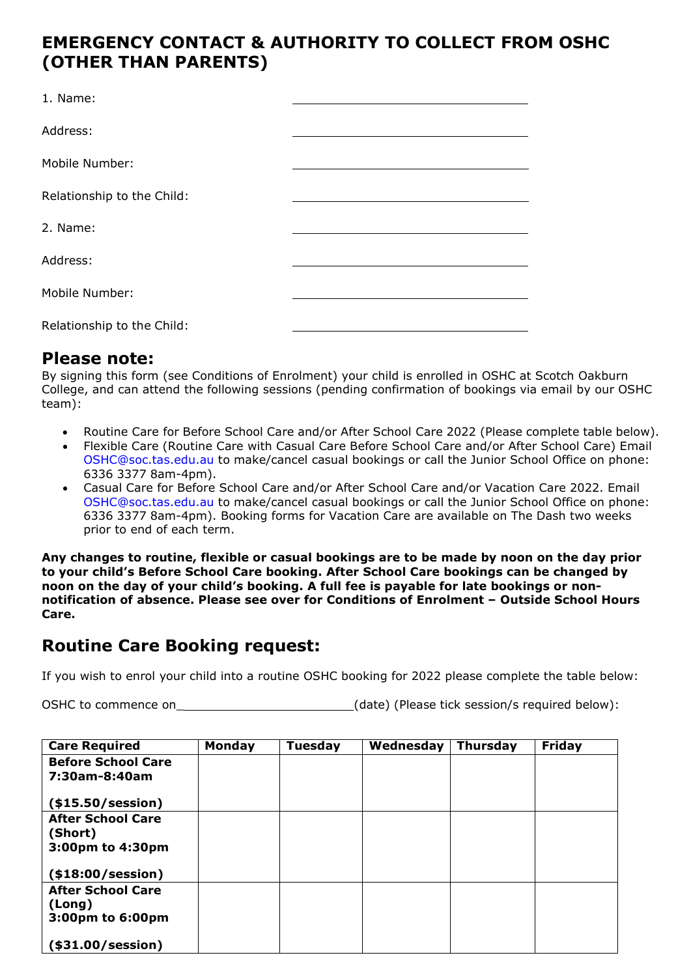### **EMERGENCY CONTACT & AUTHORITY TO COLLECT FROM OSHC (OTHER THAN PARENTS)**

| 1. Name:                   |  |
|----------------------------|--|
| Address:                   |  |
| Mobile Number:             |  |
| Relationship to the Child: |  |
| 2. Name:                   |  |
| Address:                   |  |
| Mobile Number:             |  |
| Relationship to the Child: |  |

### **Please note:**

By signing this form (see Conditions of Enrolment) your child is enrolled in OSHC at Scotch Oakburn College, and can attend the following sessions (pending confirmation of bookings via email by our OSHC team):

- Routine Care for Before School Care and/or After School Care 2022 (Please complete table below).
- Flexible Care (Routine Care with Casual Care Before School Care and/or After School Care) Email [OSHC@soc.tas.edu.au t](mailto:OSHC@soc.tas.edu.au)o make/cancel casual bookings or call the Junior School Office on phone: 6336 3377 8am-4pm).
- Casual Care for Before School Care and/or After School Care and/or Vacation Care 2022. Email [OSHC@soc.tas.edu.au t](mailto:OSHC@soc.tas.edu.au)o make/cancel casual bookings or call the Junior School Office on phone: 6336 3377 8am-4pm). Booking forms for Vacation Care are available on The Dash two weeks prior to end of each term.

**Any changes to routine, flexible or casual bookings are to be made by noon on the day prior to your child's Before School Care booking. After School Care bookings can be changed by noon on the day of your child's booking. A full fee is payable for late bookings or nonnotification of absence. Please see over for Conditions of Enrolment – Outside School Hours Care.**

## **Routine Care Booking request:**

If you wish to enrol your child into a routine OSHC booking for 2022 please complete the table below:

OSHC to commence on  $(date)$  (Please tick session/s required below):

| <b>Care Required</b>                                    | <b>Monday</b> | <b>Tuesday</b> | Wednesday | <b>Thursday</b> | Friday |
|---------------------------------------------------------|---------------|----------------|-----------|-----------------|--------|
| <b>Before School Care</b><br>7:30am-8:40am              |               |                |           |                 |        |
| (\$15.50/session)                                       |               |                |           |                 |        |
| <b>After School Care</b><br>(Short)<br>3:00pm to 4:30pm |               |                |           |                 |        |
| (\$18:00/session)                                       |               |                |           |                 |        |
| <b>After School Care</b><br>(Long)<br>3:00pm to 6:00pm  |               |                |           |                 |        |
| (\$31.00/session)                                       |               |                |           |                 |        |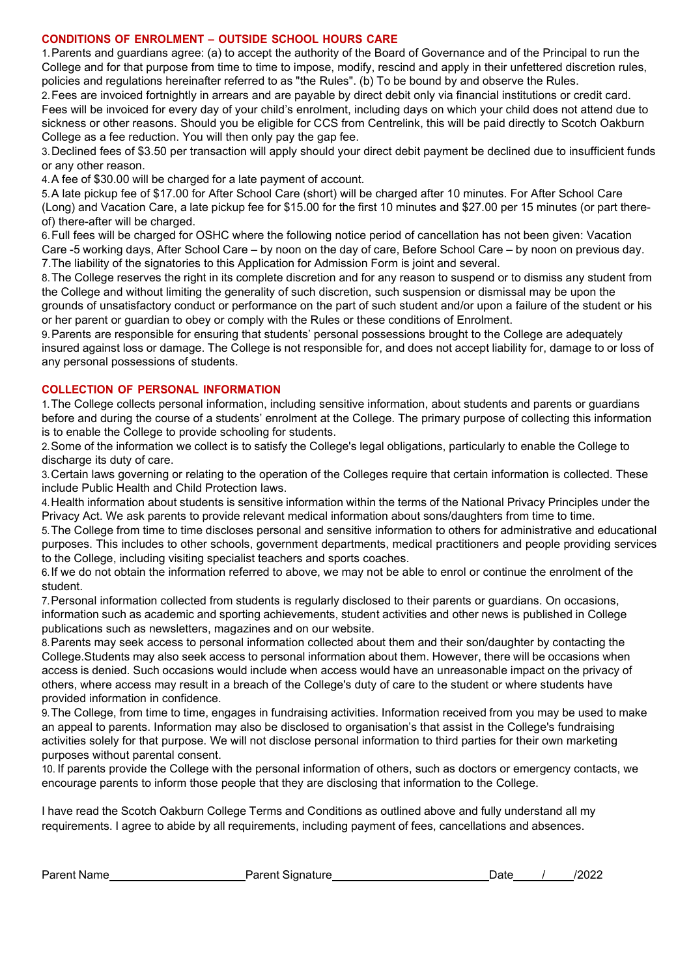#### **CONDITIONS OF ENROLMENT – OUTSIDE SCHOOL HOURS CARE**

1.Parents and guardians agree: (a) to accept the authority of the Board of Governance and of the Principal to run the College and for that purpose from time to time to impose, modify, rescind and apply in their unfettered discretion rules, policies and regulations hereinafter referred to as "the Rules". (b) To be bound by and observe the Rules.

2.Fees are invoiced fortnightly in arrears and are payable by direct debit only via financial institutions or credit card. Fees will be invoiced for every day of your child's enrolment, including days on which your child does not attend due to sickness or other reasons. Should you be eligible for CCS from Centrelink, this will be paid directly to Scotch Oakburn College as a fee reduction. You will then only pay the gap fee.

3.Declined fees of \$3.50 per transaction will apply should your direct debit payment be declined due to insufficient funds or any other reason.

4.A fee of \$30.00 will be charged for a late payment of account.

5.A late pickup fee of \$17.00 for After School Care (short) will be charged after 10 minutes. For After School Care (Long) and Vacation Care, a late pickup fee for \$15.00 for the first 10 minutes and \$27.00 per 15 minutes (or part thereof) there-after will be charged.

6.Full fees will be charged for OSHC where the following notice period of cancellation has not been given: Vacation Care -5 working days, After School Care – by noon on the day of care, Before School Care – by noon on previous day. 7.The liability of the signatories to this Application for Admission Form is joint and several.

8.The College reserves the right in its complete discretion and for any reason to suspend or to dismiss any student from the College and without limiting the generality of such discretion, such suspension or dismissal may be upon the grounds of unsatisfactory conduct or performance on the part of such student and/or upon a failure of the student or his or her parent or guardian to obey or comply with the Rules or these conditions of Enrolment.

9.Parents are responsible for ensuring that students' personal possessions brought to the College are adequately insured against loss or damage. The College is not responsible for, and does not accept liability for, damage to or loss of any personal possessions of students.

#### **COLLECTION OF PERSONAL INFORMATION**

1.The College collects personal information, including sensitive information, about students and parents or guardians before and during the course of a students' enrolment at the College. The primary purpose of collecting this information is to enable the College to provide schooling for students.

2.Some of the information we collect is to satisfy the College's legal obligations, particularly to enable the College to discharge its duty of care.

3.Certain laws governing or relating to the operation of the Colleges require that certain information is collected. These include Public Health and Child Protection laws.

4.Health information about students is sensitive information within the terms of the National Privacy Principles under the Privacy Act. We ask parents to provide relevant medical information about sons/daughters from time to time.

5.The College from time to time discloses personal and sensitive information to others for administrative and educational purposes. This includes to other schools, government departments, medical practitioners and people providing services to the College, including visiting specialist teachers and sports coaches.

6.If we do not obtain the information referred to above, we may not be able to enrol or continue the enrolment of the student.

7.Personal information collected from students is regularly disclosed to their parents or guardians. On occasions, information such as academic and sporting achievements, student activities and other news is published in College publications such as newsletters, magazines and on our website.

8.Parents may seek access to personal information collected about them and their son/daughter by contacting the College.Students may also seek access to personal information about them. However, there will be occasions when access is denied. Such occasions would include when access would have an unreasonable impact on the privacy of others, where access may result in a breach of the College's duty of care to the student or where students have provided information in confidence.

9.The College, from time to time, engages in fundraising activities. Information received from you may be used to make an appeal to parents. Information may also be disclosed to organisation's that assist in the College's fundraising activities solely for that purpose. We will not disclose personal information to third parties for their own marketing purposes without parental consent.

10. If parents provide the College with the personal information of others, such as doctors or emergency contacts, we encourage parents to inform those people that they are disclosing that information to the College.

I have read the Scotch Oakburn College Terms and Conditions as outlined above and fully understand all my requirements. I agree to abide by all requirements, including payment of fees, cancellations and absences.

| <b>Parent Name</b> | Parent Signature | 120 <sub>6</sub><br>Date |
|--------------------|------------------|--------------------------|
|--------------------|------------------|--------------------------|